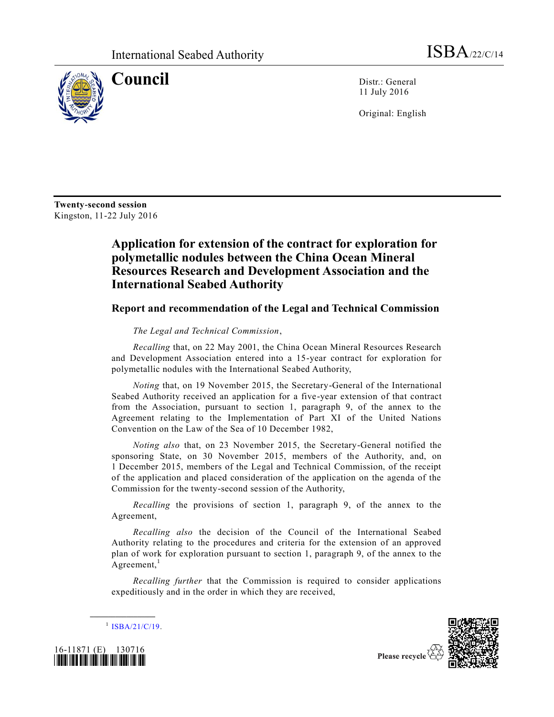

**Council** Distr.: General 11 July 2016

Original: English

**Twenty-second session** Kingston, 11-22 July 2016

## **Application for extension of the contract for exploration for polymetallic nodules between the China Ocean Mineral Resources Research and Development Association and the International Seabed Authority**

## **Report and recommendation of the Legal and Technical Commission**

## *The Legal and Technical Commission*,

*Recalling* that, on 22 May 2001, the China Ocean Mineral Resources Research and Development Association entered into a 15-year contract for exploration for polymetallic nodules with the International Seabed Authority,

*Noting* that, on 19 November 2015, the Secretary-General of the International Seabed Authority received an application for a five-year extension of that contract from the Association, pursuant to section 1, paragraph 9, of the annex to the Agreement relating to the Implementation of Part XI of the United Nations Convention on the Law of the Sea of 10 December 1982,

*Noting also* that, on 23 November 2015, the Secretary-General notified the sponsoring State, on 30 November 2015, members of the Authority, and, on 1 December 2015, members of the Legal and Technical Commission, of the receipt of the application and placed consideration of the application on the agenda of the Commission for the twenty-second session of the Authority,

*Recalling* the provisions of section 1, paragraph 9, of the annex to the Agreement,

*Recalling also* the decision of the Council of the International Seabed Authority relating to the procedures and criteria for the extension of an approved plan of work for exploration pursuant to section 1, paragraph 9, of the annex to the Agreement, $<sup>1</sup>$ </sup>

*Recalling further* that the Commission is required to consider applications expeditiously and in the order in which they are received,



 $^{1}$  [ISBA/21/C/19.](http://undocs.org/ISBA/21/C/19)

**\_\_\_\_\_\_\_\_\_\_\_\_\_\_\_\_\_\_**



Please recycle